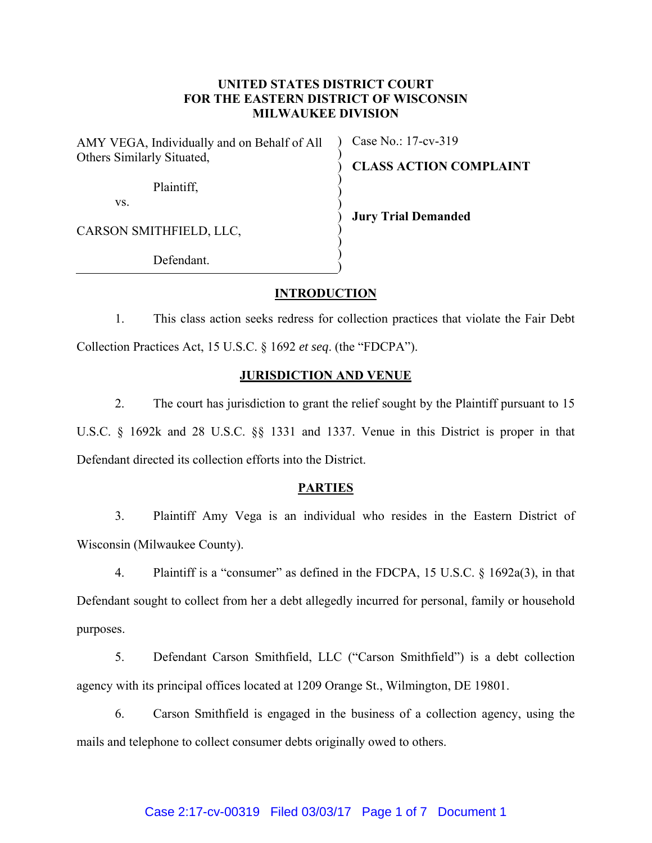#### **UNITED STATES DISTRICT COURT FOR THE EASTERN DISTRICT OF WISCONSIN MILWAUKEE DIVISION**

 $\sum_{i=1}^{n}$  $\big)$  $\big)$  $\big)$  $\sum_{i=1}^{n}$  $\big)$  $\sum_{i=1}^{n}$  $\big)$  $\big)$ )

AMY VEGA, Individually and on Behalf of All Others Similarly Situated,

Plaintiff,

vs.

CARSON SMITHFIELD, LLC,

Defendant.

) Case No.: 17-cv-319

**CLASS ACTION COMPLAINT** 

**Jury Trial Demanded** 

#### **INTRODUCTION**

1. This class action seeks redress for collection practices that violate the Fair Debt Collection Practices Act, 15 U.S.C. § 1692 *et seq*. (the "FDCPA").

# **JURISDICTION AND VENUE**

2. The court has jurisdiction to grant the relief sought by the Plaintiff pursuant to 15 U.S.C. § 1692k and 28 U.S.C. §§ 1331 and 1337. Venue in this District is proper in that Defendant directed its collection efforts into the District.

### **PARTIES**

3. Plaintiff Amy Vega is an individual who resides in the Eastern District of Wisconsin (Milwaukee County).

4. Plaintiff is a "consumer" as defined in the FDCPA, 15 U.S.C. § 1692a(3), in that Defendant sought to collect from her a debt allegedly incurred for personal, family or household purposes.

5. Defendant Carson Smithfield, LLC ("Carson Smithfield") is a debt collection agency with its principal offices located at 1209 Orange St., Wilmington, DE 19801.

6. Carson Smithfield is engaged in the business of a collection agency, using the mails and telephone to collect consumer debts originally owed to others.

#### Case 2:17-cv-00319 Filed 03/03/17 Page 1 of 7 Document 1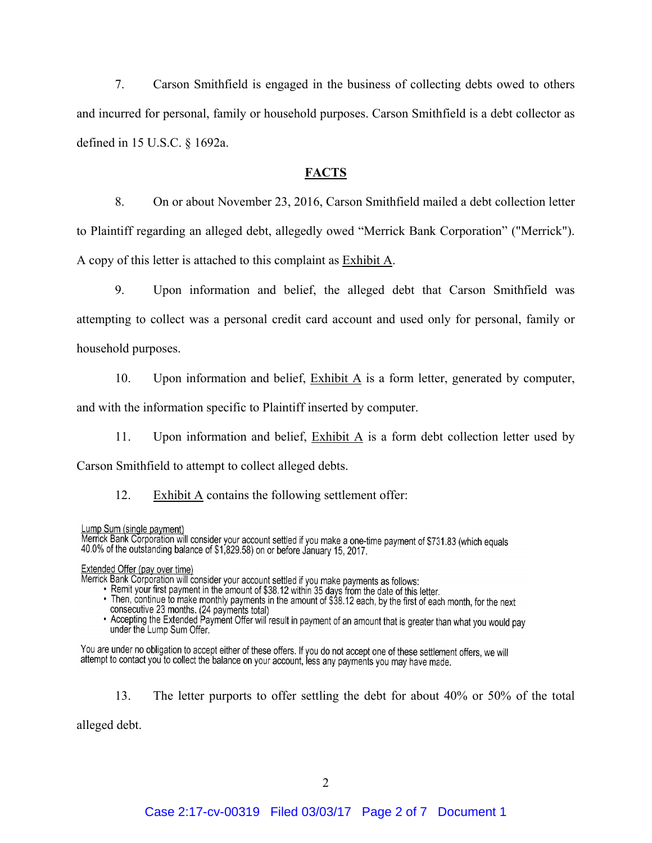7. Carson Smithfield is engaged in the business of collecting debts owed to others and incurred for personal, family or household purposes. Carson Smithfield is a debt collector as defined in 15 U.S.C. § 1692a.

#### **FACTS**

8. On or about November 23, 2016, Carson Smithfield mailed a debt collection letter to Plaintiff regarding an alleged debt, allegedly owed "Merrick Bank Corporation" ("Merrick"). A copy of this letter is attached to this complaint as Exhibit A.

9. Upon information and belief, the alleged debt that Carson Smithfield was attempting to collect was a personal credit card account and used only for personal, family or household purposes.

10. Upon information and belief, Exhibit A is a form letter, generated by computer,

and with the information specific to Plaintiff inserted by computer.

11. Upon information and belief, Exhibit A is a form debt collection letter used by Carson Smithfield to attempt to collect alleged debts.

12. Exhibit A contains the following settlement offer:

Merrick Bank Corporation will consider your account settled if you make a one-time payment of \$731.83 (which equals 40.0% of the outstanding balance of \$1,829.58) on or before January 15, 2017.

- Extended Offer (pay over time)<br>Merrick Bank Corporation will consider your account settled if you make payments as follows:<br>• Remit your first payment in the amount of \$38.12 within 35 days from the date of this letter.<br>• consecutive 23 months. (24 payments total)
	- Accepting the Extended Payment Offer will result in payment of an amount that is greater than what you would pay under the Lump Sum Offer.

You are under no obligation to accept either of these offers. If you do not accept one of these settlement offers, we will attempt to contact you to collect the balance on your account, less any payments you may have made.

13. The letter purports to offer settling the debt for about 40% or 50% of the total

alleged debt.

Lump Sum (single payment)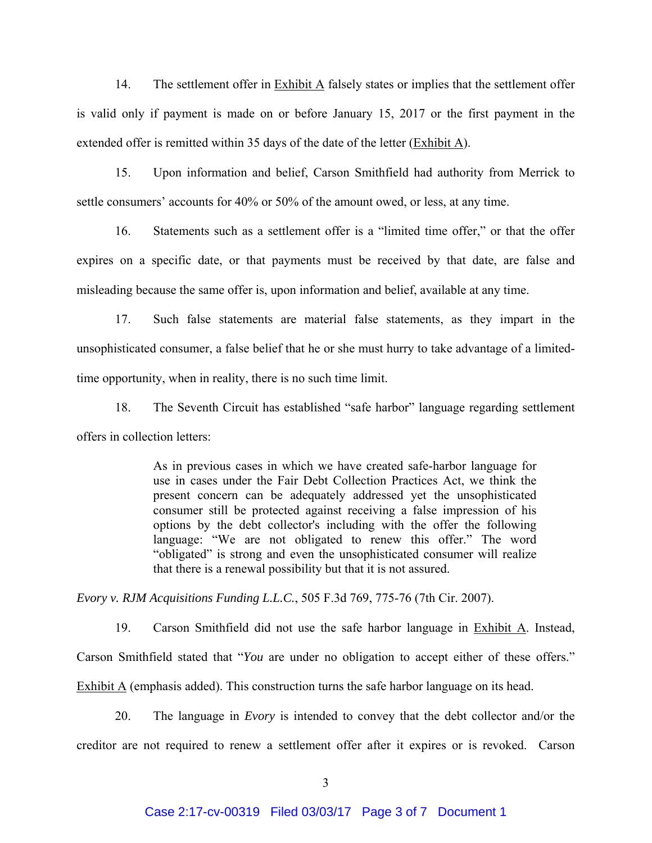14. The settlement offer in  $Exhibit A$  falsely states or implies that the settlement offer is valid only if payment is made on or before January 15, 2017 or the first payment in the extended offer is remitted within 35 days of the date of the letter (Exhibit A).

15. Upon information and belief, Carson Smithfield had authority from Merrick to settle consumers' accounts for 40% or 50% of the amount owed, or less, at any time.

16. Statements such as a settlement offer is a "limited time offer," or that the offer expires on a specific date, or that payments must be received by that date, are false and misleading because the same offer is, upon information and belief, available at any time.

17. Such false statements are material false statements, as they impart in the unsophisticated consumer, a false belief that he or she must hurry to take advantage of a limitedtime opportunity, when in reality, there is no such time limit.

18. The Seventh Circuit has established "safe harbor" language regarding settlement offers in collection letters:

> As in previous cases in which we have created safe-harbor language for use in cases under the Fair Debt Collection Practices Act, we think the present concern can be adequately addressed yet the unsophisticated consumer still be protected against receiving a false impression of his options by the debt collector's including with the offer the following language: "We are not obligated to renew this offer." The word "obligated" is strong and even the unsophisticated consumer will realize that there is a renewal possibility but that it is not assured.

*Evory v. RJM Acquisitions Funding L.L.C.*, 505 F.3d 769, 775-76 (7th Cir. 2007).

19. Carson Smithfield did not use the safe harbor language in Exhibit A. Instead, Carson Smithfield stated that "*You* are under no obligation to accept either of these offers." Exhibit A (emphasis added). This construction turns the safe harbor language on its head.

20. The language in *Evory* is intended to convey that the debt collector and/or the creditor are not required to renew a settlement offer after it expires or is revoked. Carson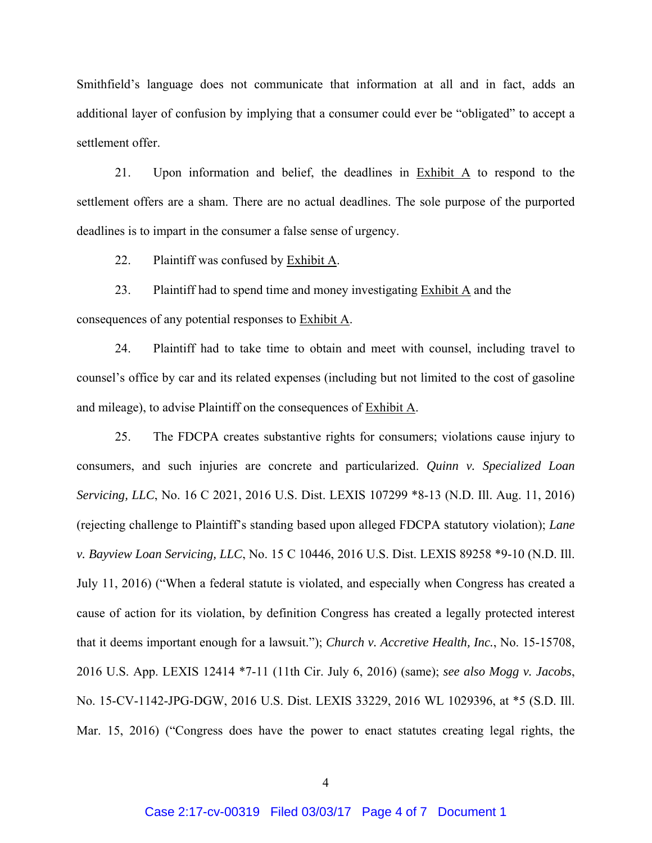Smithfield's language does not communicate that information at all and in fact, adds an additional layer of confusion by implying that a consumer could ever be "obligated" to accept a settlement offer.

21. Upon information and belief, the deadlines in Exhibit A to respond to the settlement offers are a sham. There are no actual deadlines. The sole purpose of the purported deadlines is to impart in the consumer a false sense of urgency.

22. Plaintiff was confused by Exhibit A.

23. Plaintiff had to spend time and money investigating Exhibit A and the consequences of any potential responses to Exhibit A.

24. Plaintiff had to take time to obtain and meet with counsel, including travel to counsel's office by car and its related expenses (including but not limited to the cost of gasoline and mileage), to advise Plaintiff on the consequences of Exhibit A.

25. The FDCPA creates substantive rights for consumers; violations cause injury to consumers, and such injuries are concrete and particularized. *Quinn v. Specialized Loan Servicing, LLC*, No. 16 C 2021, 2016 U.S. Dist. LEXIS 107299 \*8-13 (N.D. Ill. Aug. 11, 2016) (rejecting challenge to Plaintiff's standing based upon alleged FDCPA statutory violation); *Lane v. Bayview Loan Servicing, LLC*, No. 15 C 10446, 2016 U.S. Dist. LEXIS 89258 \*9-10 (N.D. Ill. July 11, 2016) ("When a federal statute is violated, and especially when Congress has created a cause of action for its violation, by definition Congress has created a legally protected interest that it deems important enough for a lawsuit."); *Church v. Accretive Health, Inc.*, No. 15-15708, 2016 U.S. App. LEXIS 12414 \*7-11 (11th Cir. July 6, 2016) (same); *see also Mogg v. Jacobs*, No. 15-CV-1142-JPG-DGW, 2016 U.S. Dist. LEXIS 33229, 2016 WL 1029396, at \*5 (S.D. Ill. Mar. 15, 2016) ("Congress does have the power to enact statutes creating legal rights, the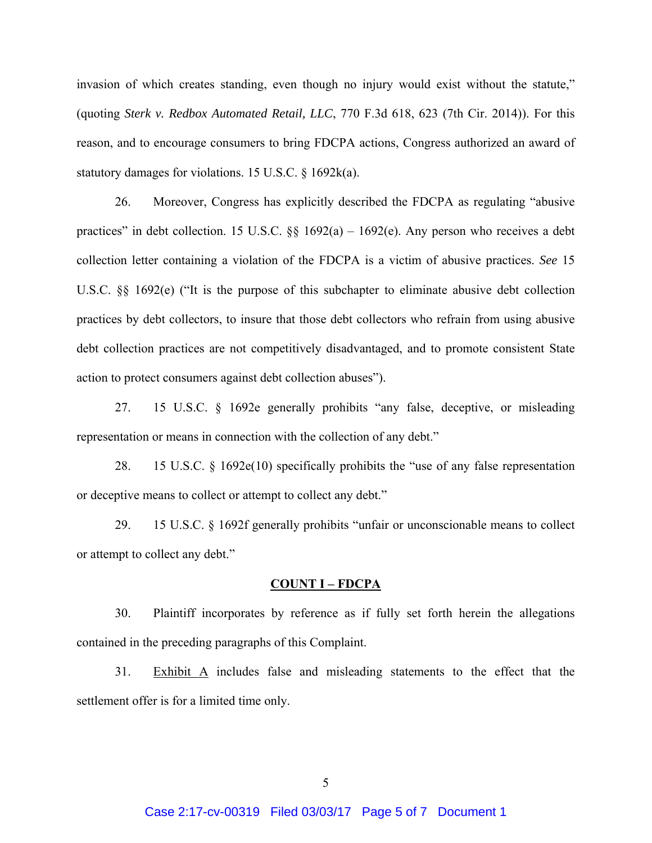invasion of which creates standing, even though no injury would exist without the statute," (quoting *Sterk v. Redbox Automated Retail, LLC*, 770 F.3d 618, 623 (7th Cir. 2014)). For this reason, and to encourage consumers to bring FDCPA actions, Congress authorized an award of statutory damages for violations. 15 U.S.C. § 1692k(a).

26. Moreover, Congress has explicitly described the FDCPA as regulating "abusive practices" in debt collection. 15 U.S.C.  $\S$  1692(a) – 1692(e). Any person who receives a debt collection letter containing a violation of the FDCPA is a victim of abusive practices. *See* 15 U.S.C. §§ 1692(e) ("It is the purpose of this subchapter to eliminate abusive debt collection practices by debt collectors, to insure that those debt collectors who refrain from using abusive debt collection practices are not competitively disadvantaged, and to promote consistent State action to protect consumers against debt collection abuses").

27. 15 U.S.C. § 1692e generally prohibits "any false, deceptive, or misleading representation or means in connection with the collection of any debt."

28. 15 U.S.C. § 1692e(10) specifically prohibits the "use of any false representation or deceptive means to collect or attempt to collect any debt."

29. 15 U.S.C. § 1692f generally prohibits "unfair or unconscionable means to collect or attempt to collect any debt."

#### **COUNT I – FDCPA**

30. Plaintiff incorporates by reference as if fully set forth herein the allegations contained in the preceding paragraphs of this Complaint.

31. Exhibit A includes false and misleading statements to the effect that the settlement offer is for a limited time only.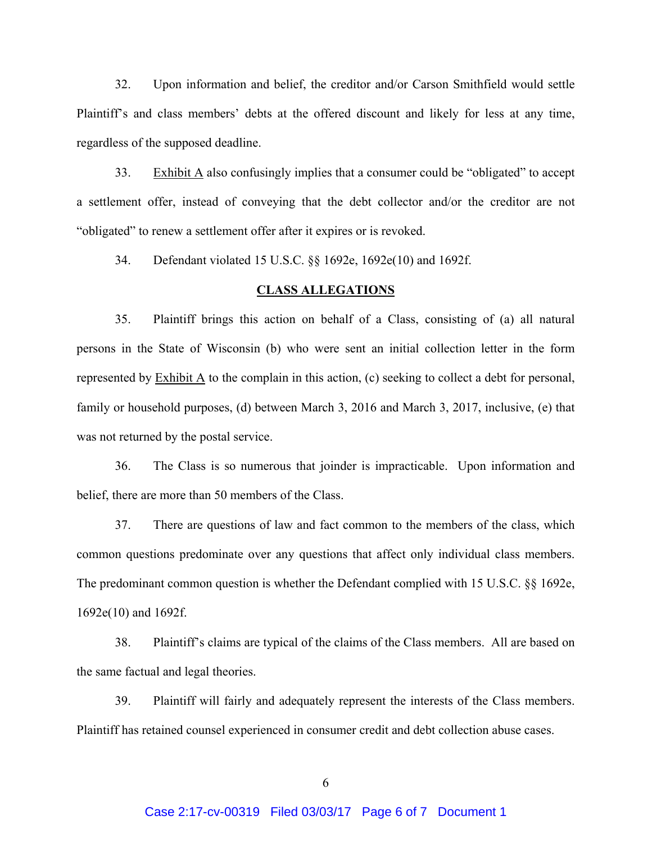32. Upon information and belief, the creditor and/or Carson Smithfield would settle Plaintiff's and class members' debts at the offered discount and likely for less at any time, regardless of the supposed deadline.

33. Exhibit A also confusingly implies that a consumer could be "obligated" to accept a settlement offer, instead of conveying that the debt collector and/or the creditor are not "obligated" to renew a settlement offer after it expires or is revoked.

34. Defendant violated 15 U.S.C. §§ 1692e, 1692e(10) and 1692f.

#### **CLASS ALLEGATIONS**

35. Plaintiff brings this action on behalf of a Class, consisting of (a) all natural persons in the State of Wisconsin (b) who were sent an initial collection letter in the form represented by Exhibit A to the complain in this action, (c) seeking to collect a debt for personal, family or household purposes, (d) between March 3, 2016 and March 3, 2017, inclusive, (e) that was not returned by the postal service.

36. The Class is so numerous that joinder is impracticable. Upon information and belief, there are more than 50 members of the Class.

37. There are questions of law and fact common to the members of the class, which common questions predominate over any questions that affect only individual class members. The predominant common question is whether the Defendant complied with 15 U.S.C. §§ 1692e, 1692e(10) and 1692f.

38. Plaintiff's claims are typical of the claims of the Class members. All are based on the same factual and legal theories.

39. Plaintiff will fairly and adequately represent the interests of the Class members. Plaintiff has retained counsel experienced in consumer credit and debt collection abuse cases.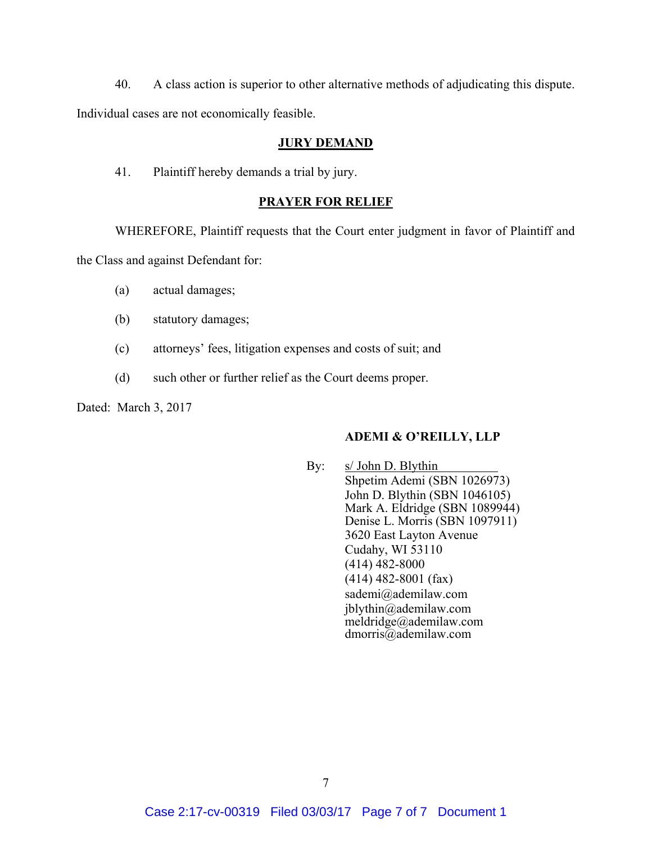40. A class action is superior to other alternative methods of adjudicating this dispute.

Individual cases are not economically feasible.

#### **JURY DEMAND**

41. Plaintiff hereby demands a trial by jury.

#### **PRAYER FOR RELIEF**

WHEREFORE, Plaintiff requests that the Court enter judgment in favor of Plaintiff and

the Class and against Defendant for:

- (a) actual damages;
- (b) statutory damages;
- (c) attorneys' fees, litigation expenses and costs of suit; and
- (d) such other or further relief as the Court deems proper.

Dated: March 3, 2017

#### **ADEMI & O'REILLY, LLP**

 By: s/ John D. Blythin Shpetim Ademi (SBN 1026973) John D. Blythin (SBN 1046105) Mark A. Eldridge (SBN 1089944) Denise L. Morris (SBN 1097911) 3620 East Layton Avenue Cudahy, WI 53110 (414) 482-8000 (414) 482-8001 (fax) sademi@ademilaw.com jblythin@ademilaw.com meldridge@ademilaw.com dmorris@ademilaw.com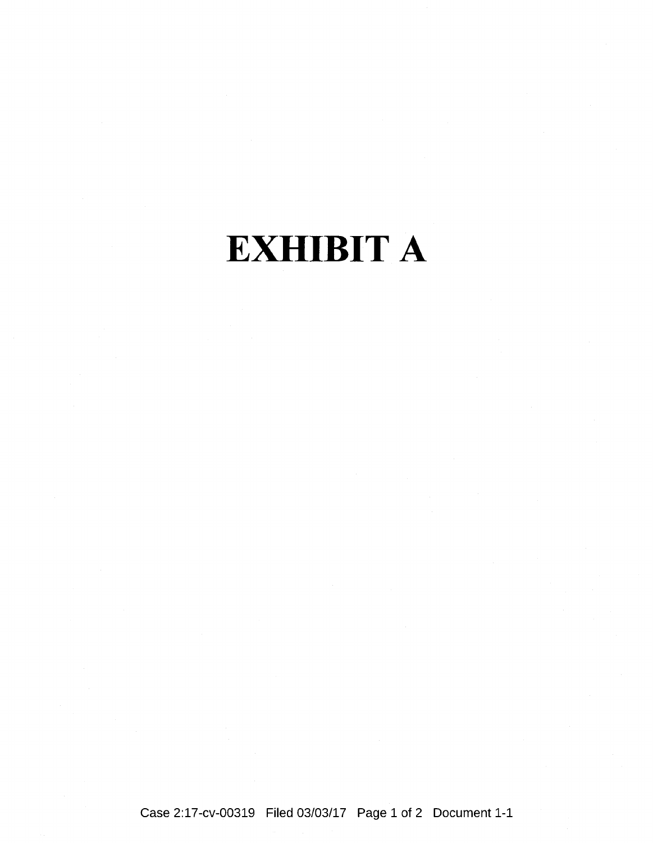# EXHIBIT A

Case 2:17-cv-00319 Filed 03/03/17 Page 1 of 2 Document 1-1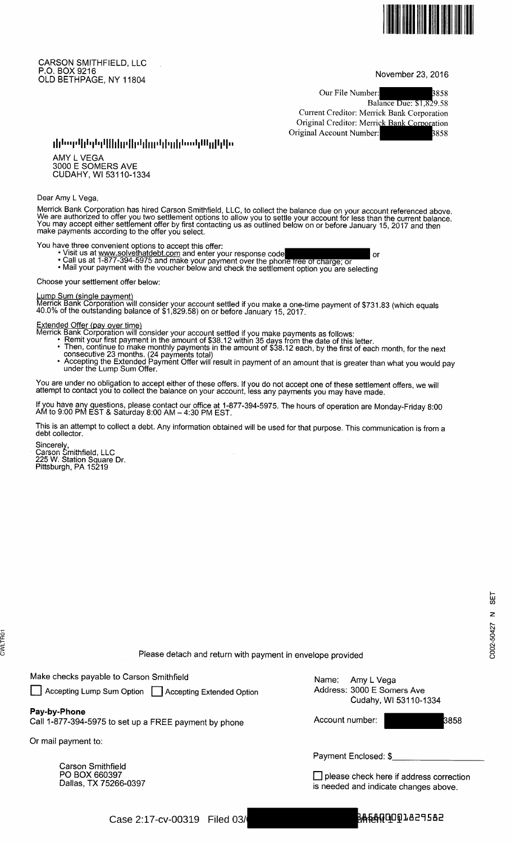

CARSON SMITHFIELD, LLC<br>P.O. BOX 9216 P.O. BOX 9216<br>OLD BETHPAGE, NY 11804 November 23, 2016

Our File Number: 3858<br>Balance Due: \$1,829.58 Current Creditor: Merrick Bank Corporation Original Creditor: Merrick Bank Corporation<br>
riginal Account Number: 3858 Original Account Number:

# IIIIIlIIIIIIIIIIIIIIIIIIIIIIIIIIIIllaiiIiIiiiiIiIIIiiIIiIIii

AMY L VEGA 3000 E SOMERS AVE CUDAHY, WI 53110-1334

Dear Amy L Vega,

Merrick Bank Corporation has hired Carson Smithfield, LLC, to collect the balance due on your account referenced above<br>We are authorized to offer you two settlement options to allow you to settle your account for less than You may accept either settlement offer by first contacting us as outlined below on or before January 15, 2017 and then<br>make payments according to the offer you select.

You have three convenient options to accept this offer:

Visit us at <u>www.solvethatdebt.com</u> and enter your response code<br>Call us at 1,977,304,5075 and make your aggregate use the share that at the contract of

Call us at 1-877-394-5975 and make your payment over the phone tree of charge; or<br>Mail your payment with the voucher below and chock the cottlement entien veu are a

Mail your payment with the voucher below and check the settlement option you are selecting

Choose your settlement offer below

<u>Lump Sum (single payment)</u><br>Merrick Bank Corporation will consider your account settled if you make a one-time payment of \$731.83 (which equals<br>40.0% of the outstanding balance of \$1,829.58) on or before January 15, 2017.

- E<u>xtended Offer (pay over time)</u><br>Merrick Bank Corporation will consider your account settled if you make payments as follows:<br>- A Pomit your first payment in the emaynt of \$39,49 within 35 days from the distinction
	- Remit your first payment in the amount of \$38.12 within 35 days from the date of this letter. Then, continue to make monthly payments in the amount of \$38.12 each, by the first of each month, for the next consecutive 23 months. (24 payments total)
	- Accepting the Extended Payment Offer will result in payment of an amount that is greater than what you would pay<br>under the Lump Sum Offer.

You are under no obligation to accept either of these offers. If you do not accept one of these settlement offers, we will<br>attemnt to contact you to collect the belonge on your acceunt. Less any acumentative of these settl attempt to contact you to collect the balance on your account, less any payments you may have made.

If you have any questions, please contact our office at 1-877-394-5975. The hours of operation are Monday-Friday 8:00<br>AM to 9:00 PM EST & Saturday 8:00 AM – 4:30 PM EST.

This is an attempt to collect <sup>a</sup> debt. Any information obtained will be used for that purpose. This communication is from <sup>a</sup> debt collector.

Sincerely, Carson Smithfield, LLC 225 W. Station Square Dr. Pittsburgh, PA 15219

Please detach and return with payment in envelope provided

Pay-by-Phone

CWLTRO

Or mail payment to:

Carson Smithfield<br>PO BOX 660397

**1 Accepting Lump Sum Option | Accepting Extended Option** 

Make checks payable to Carson Smithfield<br>
Mame: Amy L Vega Name: Amy L Vega<br>
Madress: 3000 E Somers Ave Cudahy, WI 53110-1334

Payment Enclosed: \$

PO BOX 660397 **Department of the COVID-STAND COVID-STAND PO BOX 660397** please check here if address correction<br>Dallas, TX 75266-0397 **Dallas** and indicate changes above is needed and indicate changes above.

Case 2:17-cv-00319 Filed 03/4 The Case 2:17-cv-00319 Filed 03/4

Call 1-877-394-5975 to set up a FREE payment by phone Account number: 3858

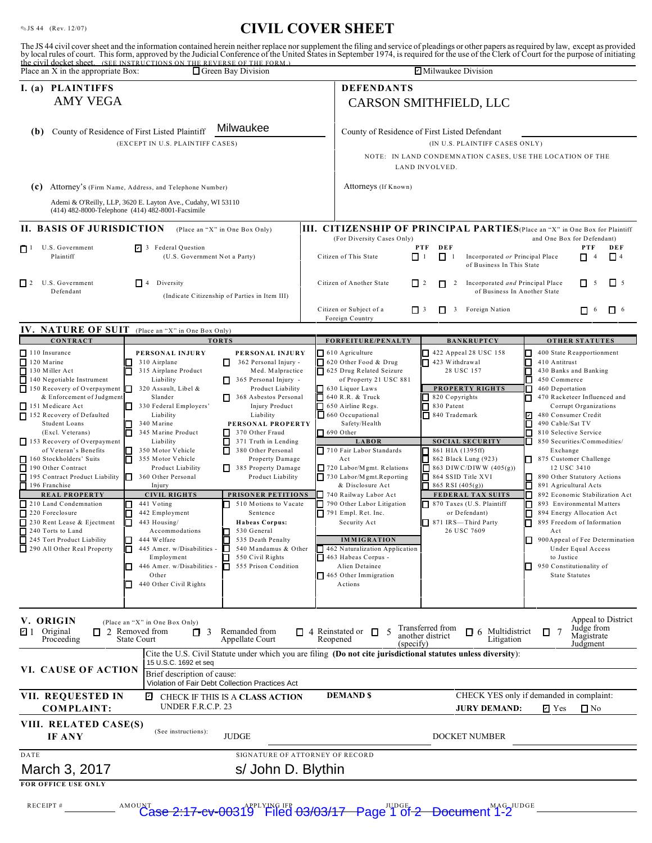# **CIVIL COVER SHEET**

The JS 44 civil cover sheet and the information contained herein neither replace nor supplement the filing and service of pleadings or other papers as required by law, except as provided<br>by local rules of court. This form,

| Place an X in the appropriate Box:                                                                                                                                                                                                                                                                                                                                                                                                                                                                                                                                                  |                                                                                                                                                                                                                                                                                                                                                                                                                                                                                                                                      | Green Bay Division                                                                                                                                                                                                                                                                                                                                                                                                                                                                                                                           |                                                                                                                                                                                                                                                                                                                                                                                                                                                                                                                                                                                        | Milwaukee Division                                                                                                                                                                                                                                                                                                                                                                                                           |                                                                                                                                                                                                                                                                                                                                                                                                                                                                                                                                                                                                                                                                       |
|-------------------------------------------------------------------------------------------------------------------------------------------------------------------------------------------------------------------------------------------------------------------------------------------------------------------------------------------------------------------------------------------------------------------------------------------------------------------------------------------------------------------------------------------------------------------------------------|--------------------------------------------------------------------------------------------------------------------------------------------------------------------------------------------------------------------------------------------------------------------------------------------------------------------------------------------------------------------------------------------------------------------------------------------------------------------------------------------------------------------------------------|----------------------------------------------------------------------------------------------------------------------------------------------------------------------------------------------------------------------------------------------------------------------------------------------------------------------------------------------------------------------------------------------------------------------------------------------------------------------------------------------------------------------------------------------|----------------------------------------------------------------------------------------------------------------------------------------------------------------------------------------------------------------------------------------------------------------------------------------------------------------------------------------------------------------------------------------------------------------------------------------------------------------------------------------------------------------------------------------------------------------------------------------|------------------------------------------------------------------------------------------------------------------------------------------------------------------------------------------------------------------------------------------------------------------------------------------------------------------------------------------------------------------------------------------------------------------------------|-----------------------------------------------------------------------------------------------------------------------------------------------------------------------------------------------------------------------------------------------------------------------------------------------------------------------------------------------------------------------------------------------------------------------------------------------------------------------------------------------------------------------------------------------------------------------------------------------------------------------------------------------------------------------|
| I. (a) PLAINTIFFS                                                                                                                                                                                                                                                                                                                                                                                                                                                                                                                                                                   |                                                                                                                                                                                                                                                                                                                                                                                                                                                                                                                                      |                                                                                                                                                                                                                                                                                                                                                                                                                                                                                                                                              | <b>DEFENDANTS</b>                                                                                                                                                                                                                                                                                                                                                                                                                                                                                                                                                                      |                                                                                                                                                                                                                                                                                                                                                                                                                              |                                                                                                                                                                                                                                                                                                                                                                                                                                                                                                                                                                                                                                                                       |
| <b>AMY VEGA</b>                                                                                                                                                                                                                                                                                                                                                                                                                                                                                                                                                                     |                                                                                                                                                                                                                                                                                                                                                                                                                                                                                                                                      |                                                                                                                                                                                                                                                                                                                                                                                                                                                                                                                                              |                                                                                                                                                                                                                                                                                                                                                                                                                                                                                                                                                                                        | CARSON SMITHFIELD, LLC                                                                                                                                                                                                                                                                                                                                                                                                       |                                                                                                                                                                                                                                                                                                                                                                                                                                                                                                                                                                                                                                                                       |
| Milwaukee<br>County of Residence of First Listed Plaintiff<br>(b)<br>(EXCEPT IN U.S. PLAINTIFF CASES)                                                                                                                                                                                                                                                                                                                                                                                                                                                                               |                                                                                                                                                                                                                                                                                                                                                                                                                                                                                                                                      |                                                                                                                                                                                                                                                                                                                                                                                                                                                                                                                                              | County of Residence of First Listed Defendant<br>(IN U.S. PLAINTIFF CASES ONLY)<br>NOTE: IN LAND CONDEMNATION CASES, USE THE LOCATION OF THE<br>LAND INVOLVED.                                                                                                                                                                                                                                                                                                                                                                                                                         |                                                                                                                                                                                                                                                                                                                                                                                                                              |                                                                                                                                                                                                                                                                                                                                                                                                                                                                                                                                                                                                                                                                       |
| (c)                                                                                                                                                                                                                                                                                                                                                                                                                                                                                                                                                                                 | Attorney's (Firm Name, Address, and Telephone Number)<br>Ademi & O'Reilly, LLP, 3620 E. Layton Ave., Cudahy, WI 53110<br>(414) 482-8000-Telephone (414) 482-8001-Facsimile                                                                                                                                                                                                                                                                                                                                                           |                                                                                                                                                                                                                                                                                                                                                                                                                                                                                                                                              | Attorneys (If Known)                                                                                                                                                                                                                                                                                                                                                                                                                                                                                                                                                                   |                                                                                                                                                                                                                                                                                                                                                                                                                              |                                                                                                                                                                                                                                                                                                                                                                                                                                                                                                                                                                                                                                                                       |
| II. BASIS OF JURISDICTION                                                                                                                                                                                                                                                                                                                                                                                                                                                                                                                                                           |                                                                                                                                                                                                                                                                                                                                                                                                                                                                                                                                      |                                                                                                                                                                                                                                                                                                                                                                                                                                                                                                                                              |                                                                                                                                                                                                                                                                                                                                                                                                                                                                                                                                                                                        | <b>III. CITIZENSHIP OF PRINCIPAL PARTIES</b> (Place an "X" in One Box for Plaintiff                                                                                                                                                                                                                                                                                                                                          |                                                                                                                                                                                                                                                                                                                                                                                                                                                                                                                                                                                                                                                                       |
| (Place an "X" in One Box Only)<br>$\triangledown$ 3 Federal Question<br>$1$ U.S. Government<br>Plaintiff<br>(U.S. Government Not a Party)                                                                                                                                                                                                                                                                                                                                                                                                                                           |                                                                                                                                                                                                                                                                                                                                                                                                                                                                                                                                      |                                                                                                                                                                                                                                                                                                                                                                                                                                                                                                                                              | (For Diversity Cases Only)<br>Citizen of This State                                                                                                                                                                                                                                                                                                                                                                                                                                                                                                                                    | DEF<br>PTF<br>$\Box$ 1<br>$\Box$ <sup>1</sup><br>Incorporated or Principal Place<br>of Business In This State                                                                                                                                                                                                                                                                                                                | and One Box for Defendant)<br>PTF<br>DEF<br>$\Box$ 4<br>п<br>$\overline{4}$                                                                                                                                                                                                                                                                                                                                                                                                                                                                                                                                                                                           |
| U.S. Government<br>$\Box$ 2<br>Defendant                                                                                                                                                                                                                                                                                                                                                                                                                                                                                                                                            | Diversity<br>$\Box$ 4                                                                                                                                                                                                                                                                                                                                                                                                                                                                                                                | (Indicate Citizenship of Parties in Item III)                                                                                                                                                                                                                                                                                                                                                                                                                                                                                                | Citizen of Another State                                                                                                                                                                                                                                                                                                                                                                                                                                                                                                                                                               | Incorporated and Principal Place<br>$\prod 2$<br>2<br>п<br>of Business In Another State                                                                                                                                                                                                                                                                                                                                      | $\Box$ 5<br>П.<br>5                                                                                                                                                                                                                                                                                                                                                                                                                                                                                                                                                                                                                                                   |
|                                                                                                                                                                                                                                                                                                                                                                                                                                                                                                                                                                                     |                                                                                                                                                                                                                                                                                                                                                                                                                                                                                                                                      |                                                                                                                                                                                                                                                                                                                                                                                                                                                                                                                                              | Citizen or Subject of a<br>Foreign Country                                                                                                                                                                                                                                                                                                                                                                                                                                                                                                                                             | Foreign Nation<br>$\Box$ <sup>3</sup><br>П<br>3                                                                                                                                                                                                                                                                                                                                                                              | $\Box$ 6<br>$\Box$ 6                                                                                                                                                                                                                                                                                                                                                                                                                                                                                                                                                                                                                                                  |
| IV. NATURE OF SUIT (Place an "X" in One Box Only)<br><b>CONTRACT</b>                                                                                                                                                                                                                                                                                                                                                                                                                                                                                                                | <b>TORTS</b>                                                                                                                                                                                                                                                                                                                                                                                                                                                                                                                         |                                                                                                                                                                                                                                                                                                                                                                                                                                                                                                                                              | <b>FORFEITURE/PENALTY</b>                                                                                                                                                                                                                                                                                                                                                                                                                                                                                                                                                              | <b>BANKRUPTCY</b>                                                                                                                                                                                                                                                                                                                                                                                                            | <b>OTHER STATUTES</b>                                                                                                                                                                                                                                                                                                                                                                                                                                                                                                                                                                                                                                                 |
| 110 Insurance<br>$\Box$ 120 Marine<br>130 Miller Act<br>140 Negotiable Instrument<br>150 Recovery of Overpayment<br>& Enforcement of Judgment<br>151 Medicare Act<br>152 Recovery of Defaulted<br>Student Loans<br>(Excl. Veterans)<br>153 Recovery of Overpayment<br>of Veteran's Benefits<br>160 Stockholders' Suits<br>190 Other Contract<br>195 Contract Product Liability<br>196 Franchise<br><b>REAL PROPERTY</b><br>210 Land Condemnation<br>220 Foreclosure<br>230 Rent Lease & Ejectment<br>240 Torts to Land<br>245 Tort Product Liability<br>290 All Other Real Property | PERSONAL INJURY<br>310 Airplane<br>315 Airplane Product<br>Liability<br>IП<br>320 Assault, Libel &<br>Slander<br>330 Federal Employers'<br>Liability<br>340 Marine<br>345 Marine Product<br>Liability<br>350 Motor Vehicle<br>355 Motor Vehicle<br>Product Liability<br>360 Other Personal<br>Injury<br><b>CIVIL RIGHTS</b><br>441 Voting<br>442 Employment<br>443 Housing/<br>IП<br>Accommodations<br>444 Welfare<br>п<br>445 Amer. w/Disabilities -<br>Employment<br>446 Amer. w/Disabilities -<br>Other<br>440 Other Civil Rights | PERSONAL INJURY<br>п<br>362 Personal Injury -<br>Med. Malpractice<br>365 Personal Injury -<br>Product Liability<br>368 Asbestos Personal<br>Injury Product<br>Liability<br>PERSONAL PROPERTY<br>П<br>370 Other Fraud<br>371 Truth in Lending<br>$\Box$<br>380 Other Personal<br>п<br>Property Damage<br>385 Property Damage<br>Product Liability<br>PRISONER PETITIONS<br>510 Motions to Vacate<br>Sentence<br><b>Habeas Corpus:</b><br>530 General<br>535 Death Penalty<br>540 Mandamus & Other<br>550 Civil Rights<br>555 Prison Condition | 610 Agriculture<br>620 Other Food & Drug<br>625 Drug Related Seizure<br>of Property 21 USC 881<br>630 Liquor Laws<br>640 R.R. & Truck<br>650 Airline Regs.<br>660 Occupational<br>Safety/Health<br>$\Box$ 690 Other<br><b>LABOR</b><br>710 Fair Labor Standards<br>Act<br>720 Labor/Mgmt. Relations<br>730 Labor/Mgmt.Reporting<br>& Disclosure Act<br>740 Railway Labor Act<br>790 Other Labor Litigation<br>791 Empl. Ret. Inc.<br>Security Act<br><b>IMMIGRATION</b><br>462 Naturalization Application<br>463 Habeas Corpus -<br>Alien Detainee<br>465 Other Immigration<br>Actions | 422 Appeal 28 USC 158<br>423 Withdrawal<br>28 USC 157<br><b>PROPERTY RIGHTS</b><br>820 Copyrights<br>□ 830 Patent<br>840 Trademark<br><b>SOCIAL SECURITY</b><br>$\sqrt{861}$ HIA (1395ff)<br>862 Black Lung (923)<br>$\Box$ 863 DIWC/DIWW (405(g))<br>$\Box$ 864 SSID Title XVI<br>$\Box$ 865 RSI (405(g))<br><b>FEDERAL TAX SUITS</b><br>870 Taxes (U.S. Plaintiff<br>or Defendant)<br>□ 871 IRS-Third Party<br>26 USC 7609 | $\Box$<br>400 State Reapportionment<br>410 Antitrust<br>430 Banks and Banking<br>450 Commerce<br>460 Deportation<br>470 Racketeer Influenced and<br>Corrupt Organizations<br>480 Consumer Credit<br>490 Cable/Sat TV<br>810 Selective Service<br>850 Securities/Commodities/<br>Exchange<br>875 Customer Challenge<br>П<br>12 USC 3410<br>890 Other Statutory Actions<br>891 Agricultural Acts<br>П<br>892 Economic Stabilization Act<br>893 Environmental Matters<br>894 Energy Allocation Act<br>895 Freedom of Information<br>П<br>Act<br>900 Appeal of Fee Determination<br>Under Equal Access<br>to Justice<br>950 Constitutionality of<br><b>State Statutes</b> |
| V. ORIGIN<br>Original<br>☑<br>Proceeding                                                                                                                                                                                                                                                                                                                                                                                                                                                                                                                                            | (Place an "X" in One Box Only)<br>$\Box$ 2 Removed from<br>П.<br>3<br><b>State Court</b>                                                                                                                                                                                                                                                                                                                                                                                                                                             | Remanded from<br>Appellate Court                                                                                                                                                                                                                                                                                                                                                                                                                                                                                                             | $\Box$ 4 Reinstated or $\Box$ 5<br>Reopened                                                                                                                                                                                                                                                                                                                                                                                                                                                                                                                                            | Transferred from<br>$\Box$ 6 Multidistrict<br>another district<br>Litigation<br>(specify)                                                                                                                                                                                                                                                                                                                                    | Appeal to District<br>Judge from<br>П.<br>Magistrate<br>Judgment                                                                                                                                                                                                                                                                                                                                                                                                                                                                                                                                                                                                      |
| VI. CAUSE OF ACTION                                                                                                                                                                                                                                                                                                                                                                                                                                                                                                                                                                 | 15 U.S.C. 1692 et seq<br>Brief description of cause:                                                                                                                                                                                                                                                                                                                                                                                                                                                                                 |                                                                                                                                                                                                                                                                                                                                                                                                                                                                                                                                              |                                                                                                                                                                                                                                                                                                                                                                                                                                                                                                                                                                                        | Cite the U.S. Civil Statute under which you are filing (Do not cite jurisdictional statutes unless diversity):                                                                                                                                                                                                                                                                                                               |                                                                                                                                                                                                                                                                                                                                                                                                                                                                                                                                                                                                                                                                       |
| Violation of Fair Debt Collection Practices Act<br>VII. REQUESTED IN<br>☑<br>CHECK IF THIS IS A CLASS ACTION<br>UNDER F.R.C.P. 23<br><b>COMPLAINT:</b>                                                                                                                                                                                                                                                                                                                                                                                                                              |                                                                                                                                                                                                                                                                                                                                                                                                                                                                                                                                      | <b>DEMAND \$</b>                                                                                                                                                                                                                                                                                                                                                                                                                                                                                                                             | <b>JURY DEMAND:</b>                                                                                                                                                                                                                                                                                                                                                                                                                                                                                                                                                                    | CHECK YES only if demanded in complaint:<br>$\mathbf{Z}$ Yes<br>$\Box$ No                                                                                                                                                                                                                                                                                                                                                    |                                                                                                                                                                                                                                                                                                                                                                                                                                                                                                                                                                                                                                                                       |
| VIII. RELATED CASE(S)<br>IF ANY                                                                                                                                                                                                                                                                                                                                                                                                                                                                                                                                                     | (See instructions):                                                                                                                                                                                                                                                                                                                                                                                                                                                                                                                  | <b>JUDGE</b>                                                                                                                                                                                                                                                                                                                                                                                                                                                                                                                                 |                                                                                                                                                                                                                                                                                                                                                                                                                                                                                                                                                                                        | DOCKET NUMBER                                                                                                                                                                                                                                                                                                                                                                                                                |                                                                                                                                                                                                                                                                                                                                                                                                                                                                                                                                                                                                                                                                       |
| DATE<br>March 3, 2017<br><b>FOR OFFICE USE ONLY</b>                                                                                                                                                                                                                                                                                                                                                                                                                                                                                                                                 |                                                                                                                                                                                                                                                                                                                                                                                                                                                                                                                                      | s/ John D. Blythin                                                                                                                                                                                                                                                                                                                                                                                                                                                                                                                           | SIGNATURE OF ATTORNEY OF RECORD                                                                                                                                                                                                                                                                                                                                                                                                                                                                                                                                                        |                                                                                                                                                                                                                                                                                                                                                                                                                              |                                                                                                                                                                                                                                                                                                                                                                                                                                                                                                                                                                                                                                                                       |
| RECEIPT#                                                                                                                                                                                                                                                                                                                                                                                                                                                                                                                                                                            | AMOUNT<br>Ja <del>se z∷±7-cv-uu</del> 3                                                                                                                                                                                                                                                                                                                                                                                                                                                                                              | PLYING IFP                                                                                                                                                                                                                                                                                                                                                                                                                                                                                                                                   | JUDGE.<br>Filed 03/03/17<br>Page 1 of 2                                                                                                                                                                                                                                                                                                                                                                                                                                                                                                                                                | <b>MAG</b> JUDGE<br><del>Docum</del> ent 1-2                                                                                                                                                                                                                                                                                                                                                                                 |                                                                                                                                                                                                                                                                                                                                                                                                                                                                                                                                                                                                                                                                       |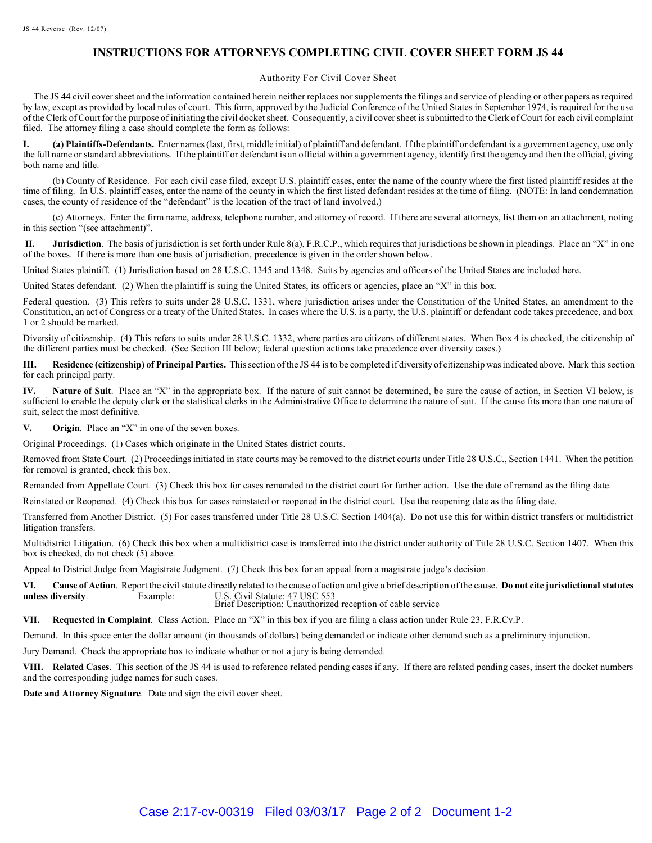#### **INSTRUCTIONS FOR ATTORNEYS COMPLETING CIVIL COVER SHEET FORM JS 44**

#### Authority For Civil Cover Sheet

The JS 44 civil cover sheet and the information contained herein neither replaces nor supplements the filings and service of pleading or other papers as required by law, except as provided by local rules of court. This form, approved by the Judicial Conference of the United States in September 1974, is required for the use of the Clerk of Court for the purpose of initiating the civil docket sheet. Consequently, a civil cover sheet is submitted to the Clerk of Court for each civil complaint filed. The attorney filing a case should complete the form as follows:

**I. (a) Plaintiffs-Defendants.** Enter names (last, first, middle initial) of plaintiff and defendant. If the plaintiff or defendant is a government agency, use only the full name or standard abbreviations. If the plaintiff or defendant is an official within a government agency, identify first the agency and then the official, giving both name and title.

(b) County of Residence. For each civil case filed, except U.S. plaintiff cases, enter the name of the county where the first listed plaintiff resides at the time of filing. In U.S. plaintiff cases, enter the name of the county in which the first listed defendant resides at the time of filing. (NOTE: In land condemnation cases, the county of residence of the "defendant" is the location of the tract of land involved.)

(c) Attorneys. Enter the firm name, address, telephone number, and attorney of record. If there are several attorneys, list them on an attachment, noting in this section "(see attachment)".

 **II. Jurisdiction**. The basis of jurisdiction is set forth under Rule 8(a), F.R.C.P., which requires that jurisdictions be shown in pleadings. Place an "X" in one of the boxes. If there is more than one basis of jurisdiction, precedence is given in the order shown below.

United States plaintiff. (1) Jurisdiction based on 28 U.S.C. 1345 and 1348. Suits by agencies and officers of the United States are included here.

United States defendant. (2) When the plaintiff is suing the United States, its officers or agencies, place an "X" in this box.

Federal question. (3) This refers to suits under 28 U.S.C. 1331, where jurisdiction arises under the Constitution of the United States, an amendment to the Constitution, an act of Congress or a treaty of the United States. In cases where the U.S. is a party, the U.S. plaintiff or defendant code takes precedence, and box 1 or 2 should be marked.

Diversity of citizenship. (4) This refers to suits under 28 U.S.C. 1332, where parties are citizens of different states. When Box 4 is checked, the citizenship of the different parties must be checked. (See Section III below; federal question actions take precedence over diversity cases.)

**III. Residence (citizenship) of Principal Parties.** This section of the JS 44 is to be completed if diversity of citizenship wasindicated above. Mark this section for each principal party.

**IV. Nature of Suit**. Place an "X" in the appropriate box. If the nature of suit cannot be determined, be sure the cause of action, in Section VI below, is sufficient to enable the deputy clerk or the statistical clerks in the Administrative Office to determine the nature of suit. If the cause fits more than one nature of suit, select the most definitive.

**V. Origin**. Place an "X" in one of the seven boxes.

Original Proceedings. (1) Cases which originate in the United States district courts.

Removed from State Court. (2) Proceedings initiated in state courts may be removed to the district courts under Title 28 U.S.C., Section 1441. When the petition for removal is granted, check this box.

Remanded from Appellate Court. (3) Check this box for cases remanded to the district court for further action. Use the date of remand as the filing date.

Reinstated or Reopened. (4) Check this box for cases reinstated or reopened in the district court. Use the reopening date as the filing date.

Transferred from Another District. (5) For cases transferred under Title 28 U.S.C. Section 1404(a). Do not use this for within district transfers or multidistrict litigation transfers.

Multidistrict Litigation. (6) Check this box when a multidistrict case is transferred into the district under authority of Title 28 U.S.C. Section 1407. When this box is checked, do not check (5) above.

Appeal to District Judge from Magistrate Judgment. (7) Check this box for an appeal from a magistrate judge's decision.

**VI. Cause of Action**. Report the civil statute directly related to the cause of action and give a brief description of the cause. **Do not cite jurisdictional statutes unless diversity.** Example: U.S. Civil Statute: 47 USC 553<br>Brief Description: <u>Unauthorized reception of cable service</u>

**VII. Requested in Complaint**. Class Action. Place an "X" in this box if you are filing a class action under Rule 23, F.R.Cv.P.

Demand. In this space enter the dollar amount (in thousands of dollars) being demanded or indicate other demand such as a preliminary injunction.

Jury Demand. Check the appropriate box to indicate whether or not a jury is being demanded.

**VIII. Related Cases**. This section of the JS 44 is used to reference related pending cases if any. If there are related pending cases, insert the docket numbers and the corresponding judge names for such cases.

**Date and Attorney Signature**. Date and sign the civil cover sheet.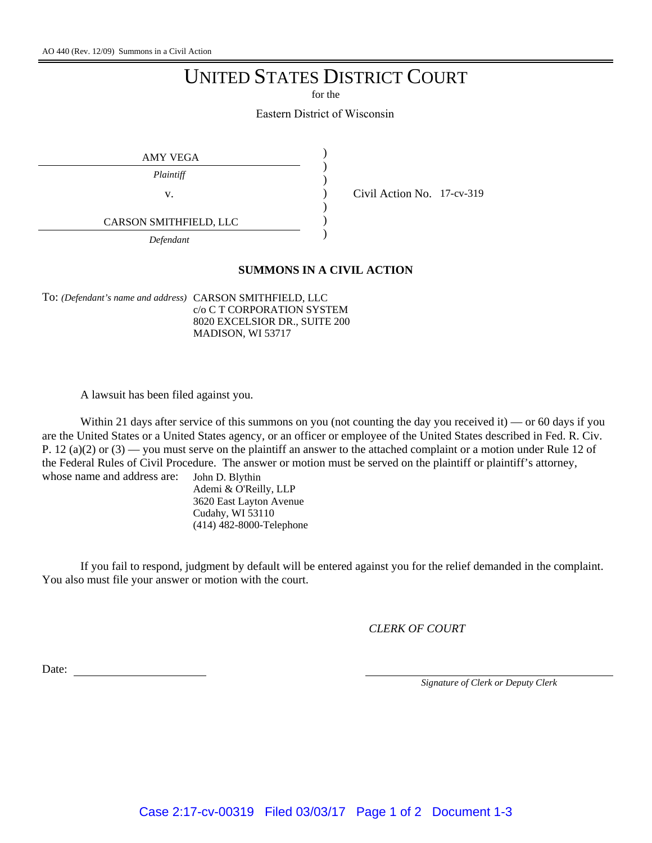# UNITED STATES DISTRICT COURT

for the

Eastern District of Wisconsin

| AMY VEGA               |                            |  |
|------------------------|----------------------------|--|
| Plaintiff              |                            |  |
| v.                     | Civil Action No. 17-cv-319 |  |
|                        |                            |  |
| CARSON SMITHFIELD, LLC |                            |  |
| Defendant              |                            |  |

**SUMMONS IN A CIVIL ACTION**

To: *(Defendant's name and address)* CARSON SMITHFIELD, LLC c/o C T CORPORATION SYSTEM 8020 EXCELSIOR DR., SUITE 200 MADISON, WI 53717

A lawsuit has been filed against you.

Within 21 days after service of this summons on you (not counting the day you received it) — or 60 days if you are the United States or a United States agency, or an officer or employee of the United States described in Fed. R. Civ. P. 12 (a)(2) or (3) — you must serve on the plaintiff an answer to the attached complaint or a motion under Rule 12 of the Federal Rules of Civil Procedure. The answer or motion must be served on the plaintiff or plaintiff's attorney, whose name and address are:

John D. Blythin Ademi & O'Reilly, LLP 3620 East Layton Avenue Cudahy, WI 53110 (414) 482-8000-Telephone

If you fail to respond, judgment by default will be entered against you for the relief demanded in the complaint. You also must file your answer or motion with the court.

*CLERK OF COURT*

Date:

*Signature of Clerk or Deputy Clerk*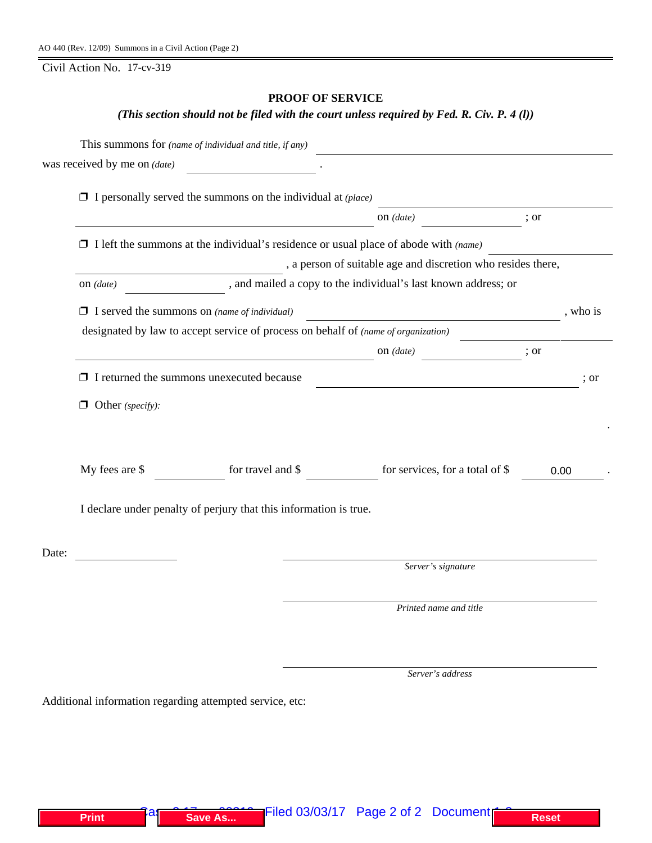Civil Action No. 17-cv-319

#### **PROOF OF SERVICE**

# *(This section should not be filed with the court unless required by Fed. R. Civ. P. 4 (l))*

|       | This summons for (name of individual and title, if any)                                         |                                                                             |                                                                                    |      |  |  |  |  |  |
|-------|-------------------------------------------------------------------------------------------------|-----------------------------------------------------------------------------|------------------------------------------------------------------------------------|------|--|--|--|--|--|
|       | was received by me on <i>(date)</i>                                                             |                                                                             |                                                                                    |      |  |  |  |  |  |
|       | $\Box$ I personally served the summons on the individual at (place)                             |                                                                             |                                                                                    |      |  |  |  |  |  |
|       |                                                                                                 | $\frac{1}{\sqrt{1-\frac{1}{2}}\cdot\frac{1}{\sqrt{1-\frac{1}{2}}}}$<br>; or |                                                                                    |      |  |  |  |  |  |
|       | $\Box$ I left the summons at the individual's residence or usual place of abode with (name)     |                                                                             |                                                                                    |      |  |  |  |  |  |
|       | , a person of suitable age and discretion who resides there,                                    |                                                                             |                                                                                    |      |  |  |  |  |  |
|       | , and mailed a copy to the individual's last known address; or<br>on (date)                     |                                                                             |                                                                                    |      |  |  |  |  |  |
|       | $\Box$ I served the summons on (name of individual)<br>, who is<br><u> Andrew Marian (1986)</u> |                                                                             |                                                                                    |      |  |  |  |  |  |
|       |                                                                                                 |                                                                             | designated by law to accept service of process on behalf of (name of organization) |      |  |  |  |  |  |
|       |                                                                                                 |                                                                             | on (date)                                                                          | ; or |  |  |  |  |  |
|       | $\Box$ I returned the summons unexecuted because                                                |                                                                             | ; or                                                                               |      |  |  |  |  |  |
|       | $\Box$ Other (specify):                                                                         |                                                                             |                                                                                    |      |  |  |  |  |  |
|       |                                                                                                 |                                                                             |                                                                                    |      |  |  |  |  |  |
|       | My fees are \$                                                                                  |                                                                             | for travel and \$ for services, for a total of \$                                  | 0.00 |  |  |  |  |  |
|       | I declare under penalty of perjury that this information is true.                               |                                                                             |                                                                                    |      |  |  |  |  |  |
|       |                                                                                                 |                                                                             |                                                                                    |      |  |  |  |  |  |
| Date: |                                                                                                 |                                                                             | Server's signature                                                                 |      |  |  |  |  |  |
|       |                                                                                                 |                                                                             | Printed name and title                                                             |      |  |  |  |  |  |
|       |                                                                                                 |                                                                             |                                                                                    |      |  |  |  |  |  |
|       |                                                                                                 |                                                                             | Server's address                                                                   |      |  |  |  |  |  |

Additional information regarding attempted service, etc: